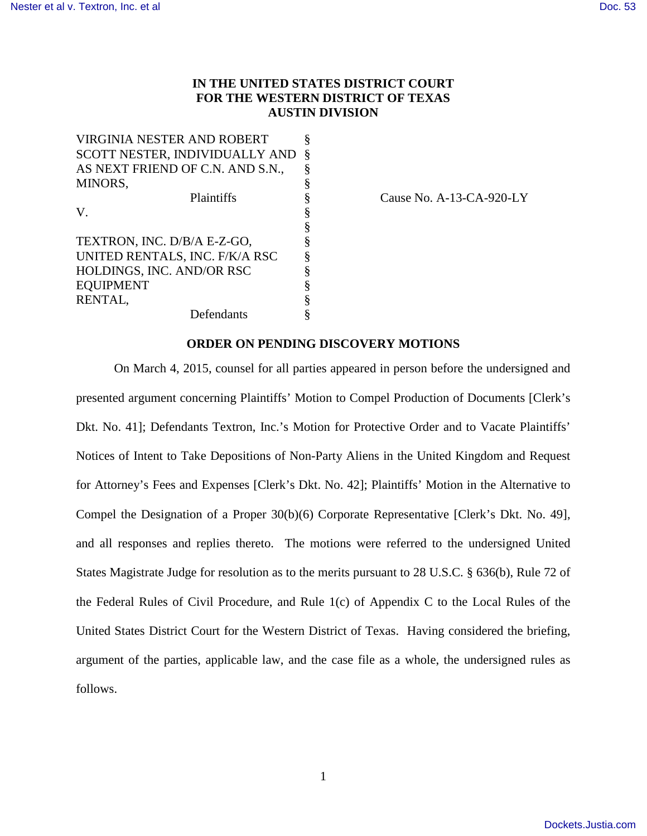# **IN THE UNITED STATES DISTRICT COURT FOR THE WESTERN DISTRICT OF TEXAS AUSTIN DIVISION**

VIRGINIA NESTER AND ROBERT § SCOTT NESTER, INDIVIDUALLY AND § AS NEXT FRIEND OF C.N. AND S.N., § MINORS, V.  $\S$ § TEXTRON, INC. D/B/A E-Z-GO, UNITED RENTALS, INC. F/K/A RSC HOLDINGS, INC. AND/OR RSC **EQUIPMENT** RENTAL,  $\S$ <br>Defendants  $\S$ Defendants

Plaintiffs § Cause No. A-13-CA-920-LY

## **ORDER ON PENDING DISCOVERY MOTIONS**

On March 4, 2015, counsel for all parties appeared in person before the undersigned and presented argument concerning Plaintiffs' Motion to Compel Production of Documents [Clerk's Dkt. No. 41]; Defendants Textron, Inc.'s Motion for Protective Order and to Vacate Plaintiffs' Notices of Intent to Take Depositions of Non-Party Aliens in the United Kingdom and Request for Attorney's Fees and Expenses [Clerk's Dkt. No. 42]; Plaintiffs' Motion in the Alternative to Compel the Designation of a Proper 30(b)(6) Corporate Representative [Clerk's Dkt. No. 49], and all responses and replies thereto. The motions were referred to the undersigned United States Magistrate Judge for resolution as to the merits pursuant to 28 U.S.C. § 636(b), Rule 72 of the Federal Rules of Civil Procedure, and Rule 1(c) of Appendix C to the Local Rules of the United States District Court for the Western District of Texas. Having considered the briefing, argument of the parties, applicable law, and the case file as a whole, the undersigned rules as follows.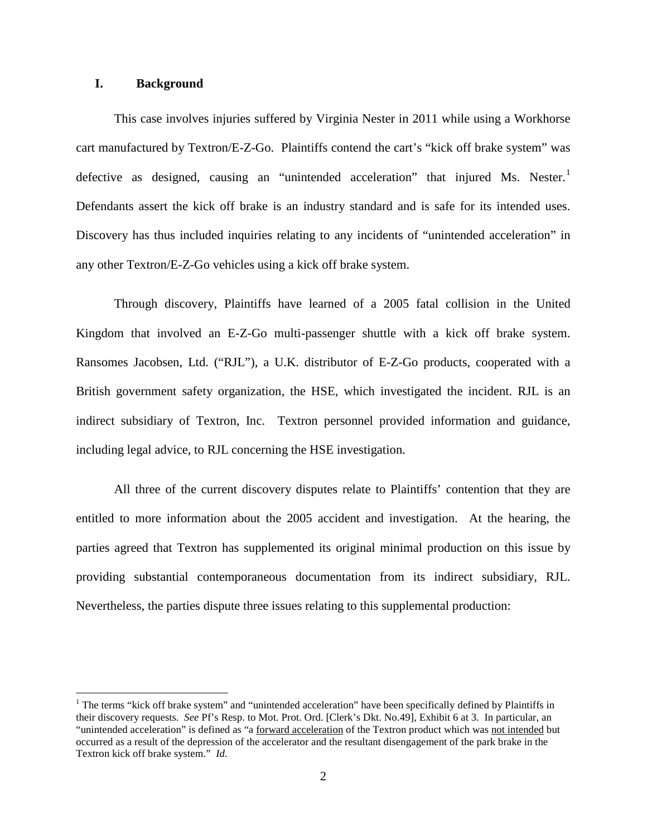### **I. Background**

 $\overline{a}$ 

This case involves injuries suffered by Virginia Nester in 2011 while using a Workhorse cart manufactured by Textron/E-Z-Go. Plaintiffs contend the cart's "kick off brake system" was defective as designed, causing an "unintended acceleration" that injured Ms. Nester.<sup>[1](#page-1-0)</sup> Defendants assert the kick off brake is an industry standard and is safe for its intended uses. Discovery has thus included inquiries relating to any incidents of "unintended acceleration" in any other Textron/E-Z-Go vehicles using a kick off brake system.

Through discovery, Plaintiffs have learned of a 2005 fatal collision in the United Kingdom that involved an E-Z-Go multi-passenger shuttle with a kick off brake system. Ransomes Jacobsen, Ltd. ("RJL"), a U.K. distributor of E-Z-Go products, cooperated with a British government safety organization, the HSE, which investigated the incident. RJL is an indirect subsidiary of Textron, Inc. Textron personnel provided information and guidance, including legal advice, to RJL concerning the HSE investigation.

All three of the current discovery disputes relate to Plaintiffs' contention that they are entitled to more information about the 2005 accident and investigation. At the hearing, the parties agreed that Textron has supplemented its original minimal production on this issue by providing substantial contemporaneous documentation from its indirect subsidiary, RJL. Nevertheless, the parties dispute three issues relating to this supplemental production:

<span id="page-1-0"></span> $<sup>1</sup>$  The terms "kick off brake system" and "unintended acceleration" have been specifically defined by Plaintiffs in</sup> their discovery requests. *See* Pf's Resp. to Mot. Prot. Ord. [Clerk's Dkt. No.49], Exhibit 6 at 3. In particular, an "unintended acceleration" is defined as "a forward acceleration of the Textron product which was not intended but occurred as a result of the depression of the accelerator and the resultant disengagement of the park brake in the Textron kick off brake system." *Id.*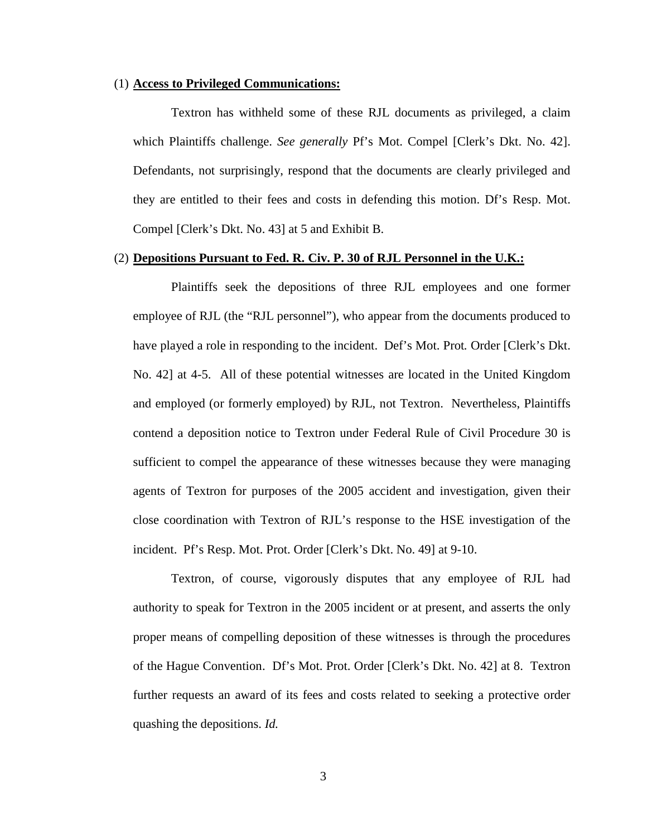#### (1) **Access to Privileged Communications:**

Textron has withheld some of these RJL documents as privileged, a claim which Plaintiffs challenge. *See generally* Pf's Mot. Compel [Clerk's Dkt. No. 42]. Defendants, not surprisingly, respond that the documents are clearly privileged and they are entitled to their fees and costs in defending this motion. Df's Resp. Mot. Compel [Clerk's Dkt. No. 43] at 5 and Exhibit B.

#### (2) **Depositions Pursuant to Fed. R. Civ. P. 30 of RJL Personnel in the U.K.:**

Plaintiffs seek the depositions of three RJL employees and one former employee of RJL (the "RJL personnel"), who appear from the documents produced to have played a role in responding to the incident. Def's Mot. Prot*.* Order [Clerk's Dkt. No. 42] at 4-5. All of these potential witnesses are located in the United Kingdom and employed (or formerly employed) by RJL, not Textron. Nevertheless, Plaintiffs contend a deposition notice to Textron under Federal Rule of Civil Procedure 30 is sufficient to compel the appearance of these witnesses because they were managing agents of Textron for purposes of the 2005 accident and investigation, given their close coordination with Textron of RJL's response to the HSE investigation of the incident. Pf's Resp. Mot. Prot. Order [Clerk's Dkt. No. 49] at 9-10.

Textron, of course, vigorously disputes that any employee of RJL had authority to speak for Textron in the 2005 incident or at present, and asserts the only proper means of compelling deposition of these witnesses is through the procedures of the Hague Convention. Df's Mot. Prot. Order [Clerk's Dkt. No. 42] at 8. Textron further requests an award of its fees and costs related to seeking a protective order quashing the depositions. *Id.*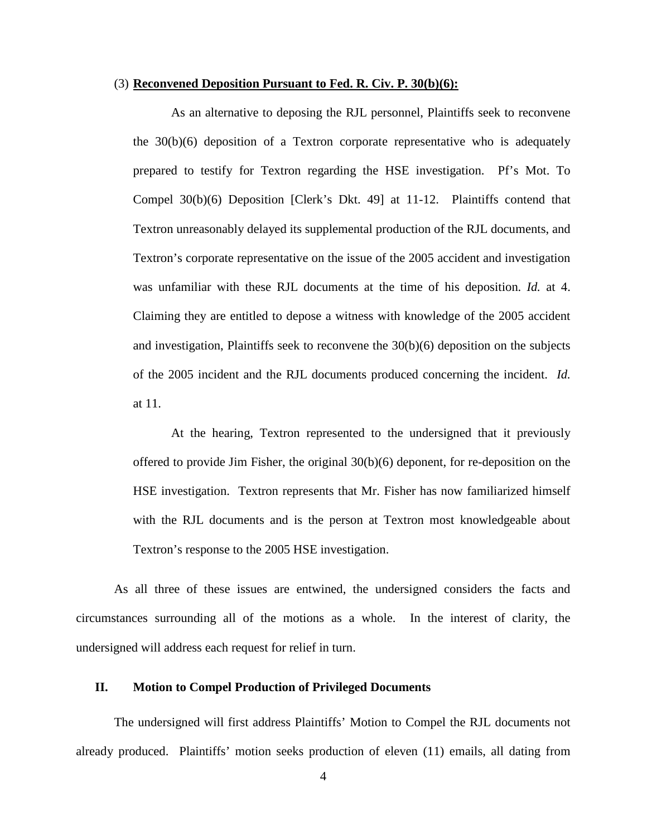#### (3) **Reconvened Deposition Pursuant to Fed. R. Civ. P. 30(b)(6):**

As an alternative to deposing the RJL personnel, Plaintiffs seek to reconvene the 30(b)(6) deposition of a Textron corporate representative who is adequately prepared to testify for Textron regarding the HSE investigation. Pf's Mot. To Compel 30(b)(6) Deposition [Clerk's Dkt. 49] at 11-12. Plaintiffs contend that Textron unreasonably delayed its supplemental production of the RJL documents, and Textron's corporate representative on the issue of the 2005 accident and investigation was unfamiliar with these RJL documents at the time of his deposition. *Id.* at 4. Claiming they are entitled to depose a witness with knowledge of the 2005 accident and investigation, Plaintiffs seek to reconvene the  $30(b)(6)$  deposition on the subjects of the 2005 incident and the RJL documents produced concerning the incident. *Id.* at 11.

At the hearing, Textron represented to the undersigned that it previously offered to provide Jim Fisher, the original 30(b)(6) deponent, for re-deposition on the HSE investigation. Textron represents that Mr. Fisher has now familiarized himself with the RJL documents and is the person at Textron most knowledgeable about Textron's response to the 2005 HSE investigation.

As all three of these issues are entwined, the undersigned considers the facts and circumstances surrounding all of the motions as a whole. In the interest of clarity, the undersigned will address each request for relief in turn.

### **II. Motion to Compel Production of Privileged Documents**

The undersigned will first address Plaintiffs' Motion to Compel the RJL documents not already produced. Plaintiffs' motion seeks production of eleven (11) emails, all dating from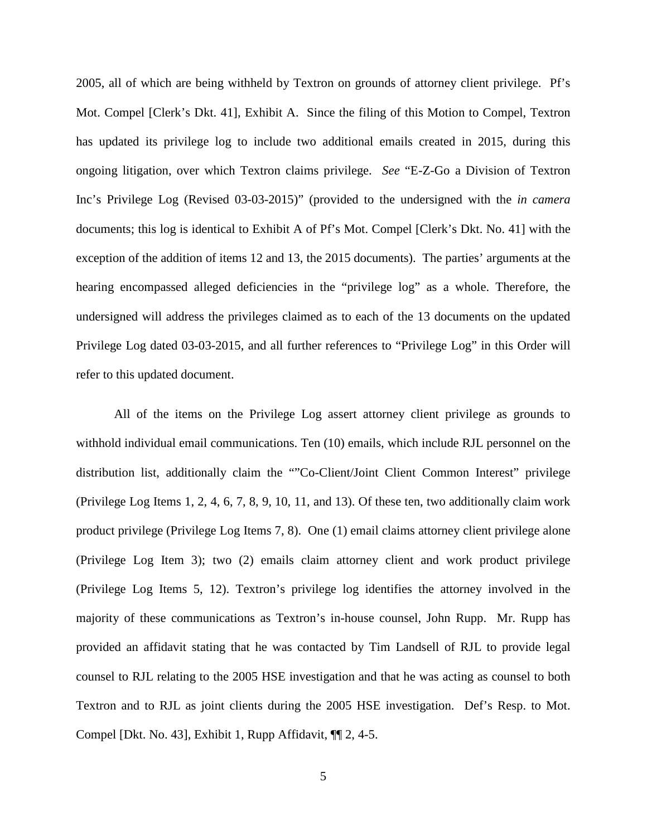2005, all of which are being withheld by Textron on grounds of attorney client privilege. Pf's Mot. Compel [Clerk's Dkt. 41], Exhibit A. Since the filing of this Motion to Compel, Textron has updated its privilege log to include two additional emails created in 2015, during this ongoing litigation, over which Textron claims privilege. *See* "E-Z-Go a Division of Textron Inc's Privilege Log (Revised 03-03-2015)" (provided to the undersigned with the *in camera* documents; this log is identical to Exhibit A of Pf's Mot. Compel [Clerk's Dkt. No. 41] with the exception of the addition of items 12 and 13, the 2015 documents). The parties' arguments at the hearing encompassed alleged deficiencies in the "privilege log" as a whole. Therefore, the undersigned will address the privileges claimed as to each of the 13 documents on the updated Privilege Log dated 03-03-2015, and all further references to "Privilege Log" in this Order will refer to this updated document.

All of the items on the Privilege Log assert attorney client privilege as grounds to withhold individual email communications. Ten (10) emails, which include RJL personnel on the distribution list, additionally claim the ""Co-Client/Joint Client Common Interest" privilege (Privilege Log Items 1, 2, 4, 6, 7, 8, 9, 10, 11, and 13). Of these ten, two additionally claim work product privilege (Privilege Log Items 7, 8). One (1) email claims attorney client privilege alone (Privilege Log Item 3); two (2) emails claim attorney client and work product privilege (Privilege Log Items 5, 12). Textron's privilege log identifies the attorney involved in the majority of these communications as Textron's in-house counsel, John Rupp. Mr. Rupp has provided an affidavit stating that he was contacted by Tim Landsell of RJL to provide legal counsel to RJL relating to the 2005 HSE investigation and that he was acting as counsel to both Textron and to RJL as joint clients during the 2005 HSE investigation. Def's Resp. to Mot. Compel [Dkt. No. 43], Exhibit 1, Rupp Affidavit, ¶¶ 2, 4-5.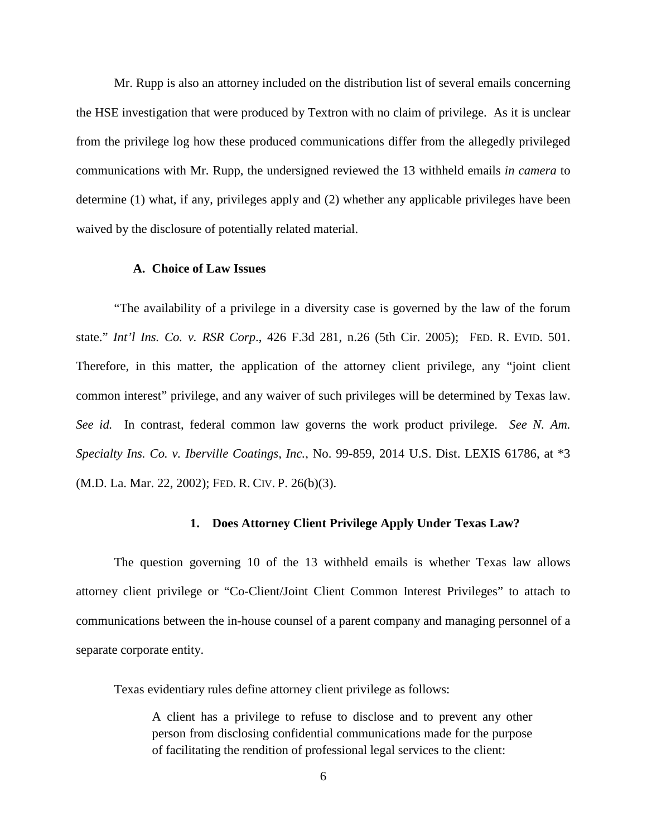Mr. Rupp is also an attorney included on the distribution list of several emails concerning the HSE investigation that were produced by Textron with no claim of privilege. As it is unclear from the privilege log how these produced communications differ from the allegedly privileged communications with Mr. Rupp, the undersigned reviewed the 13 withheld emails *in camera* to determine (1) what, if any, privileges apply and (2) whether any applicable privileges have been waived by the disclosure of potentially related material.

## **A. Choice of Law Issues**

"The availability of a privilege in a diversity case is governed by the law of the forum state." *Int'l Ins. Co. v. RSR Corp*., 426 F.3d 281, n.26 (5th Cir. 2005); FED. R. EVID. 501. Therefore, in this matter, the application of the attorney client privilege, any "joint client common interest" privilege, and any waiver of such privileges will be determined by Texas law. *See id.* In contrast, federal common law governs the work product privilege. *See N. Am. Specialty Ins. Co. v. Iberville Coatings, Inc.*, No. 99-859, 2014 U.S. Dist. LEXIS 61786, at \*3 (M.D. La. Mar. 22, 2002); FED. R. CIV. P. 26(b)(3).

### **1. Does Attorney Client Privilege Apply Under Texas Law?**

The question governing 10 of the 13 withheld emails is whether Texas law allows attorney client privilege or "Co-Client/Joint Client Common Interest Privileges" to attach to communications between the in-house counsel of a parent company and managing personnel of a separate corporate entity.

Texas evidentiary rules define attorney client privilege as follows:

A client has a privilege to refuse to disclose and to prevent any other person from disclosing confidential communications made for the purpose of facilitating the rendition of professional legal services to the client: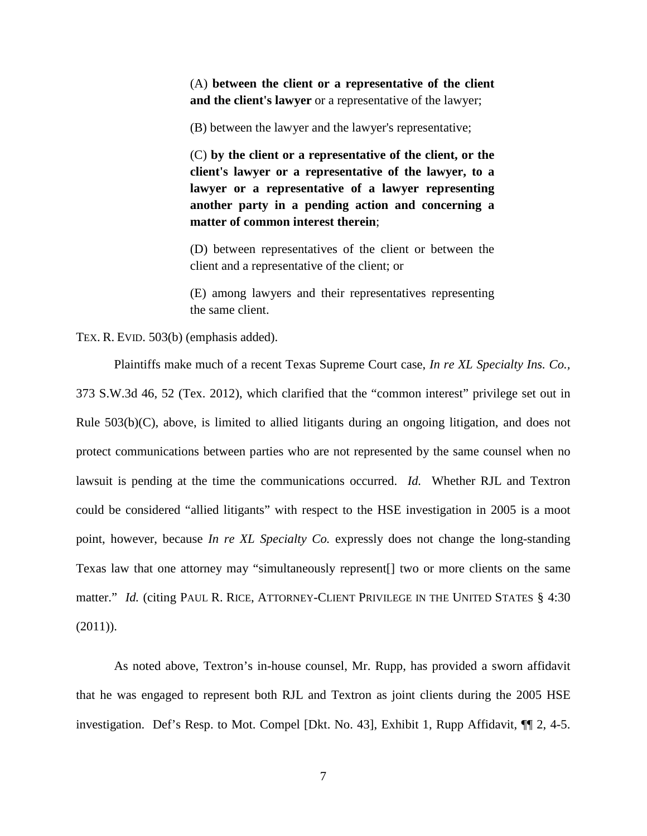(A) **between the client or a representative of the client and the client's lawyer** or a representative of the lawyer;

(B) between the lawyer and the lawyer's representative;

(C) **by the client or a representative of the client, or the client's lawyer or a representative of the lawyer, to a lawyer or a representative of a lawyer representing another party in a pending action and concerning a matter of common interest therein**;

(D) between representatives of the client or between the client and a representative of the client; or

(E) among lawyers and their representatives representing the same client.

TEX. R. EVID. 503(b) (emphasis added).

Plaintiffs make much of a recent Texas Supreme Court case, *In re XL Specialty Ins. Co.,* 373 S.W.3d 46, 52 (Tex. 2012), which clarified that the "common interest" privilege set out in Rule 503(b)(C), above, is limited to allied litigants during an ongoing litigation, and does not protect communications between parties who are not represented by the same counsel when no lawsuit is pending at the time the communications occurred. *Id.* Whether RJL and Textron could be considered "allied litigants" with respect to the HSE investigation in 2005 is a moot point, however, because *In re XL Specialty Co.* expressly does not change the long-standing Texas law that one attorney may "simultaneously represent[] two or more clients on the same matter." *Id.* (citing PAUL R. RICE, ATTORNEY-CLIENT PRIVILEGE IN THE UNITED STATES § 4:30  $(2011)$ ).

As noted above, Textron's in-house counsel, Mr. Rupp, has provided a sworn affidavit that he was engaged to represent both RJL and Textron as joint clients during the 2005 HSE investigation. Def's Resp. to Mot. Compel [Dkt. No. 43], Exhibit 1, Rupp Affidavit, ¶¶ 2, 4-5.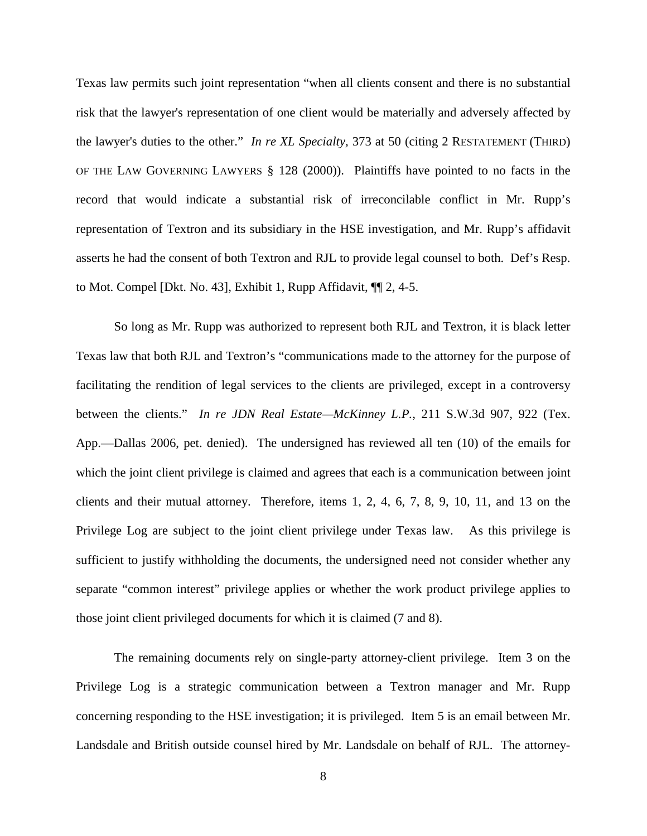Texas law permits such joint representation "when all clients consent and there is no substantial risk that the lawyer's representation of one client would be materially and adversely affected by the lawyer's duties to the other." *In re XL Specialty,* 373 at 50 (citing 2 RESTATEMENT (THIRD) OF THE LAW GOVERNING LAWYERS § 128 (2000)). Plaintiffs have pointed to no facts in the record that would indicate a substantial risk of irreconcilable conflict in Mr. Rupp's representation of Textron and its subsidiary in the HSE investigation, and Mr. Rupp's affidavit asserts he had the consent of both Textron and RJL to provide legal counsel to both. Def's Resp. to Mot. Compel [Dkt. No. 43], Exhibit 1, Rupp Affidavit, ¶¶ 2, 4-5.

So long as Mr. Rupp was authorized to represent both RJL and Textron, it is black letter Texas law that both RJL and Textron's "communications made to the attorney for the purpose of facilitating the rendition of legal services to the clients are privileged, except in a controversy between the clients." *In re JDN Real Estate—McKinney L.P.*, 211 S.W.3d 907, 922 (Tex. App.—Dallas 2006, pet. denied). The undersigned has reviewed all ten (10) of the emails for which the joint client privilege is claimed and agrees that each is a communication between joint clients and their mutual attorney. Therefore, items 1, 2, 4, 6, 7, 8, 9, 10, 11, and 13 on the Privilege Log are subject to the joint client privilege under Texas law. As this privilege is sufficient to justify withholding the documents, the undersigned need not consider whether any separate "common interest" privilege applies or whether the work product privilege applies to those joint client privileged documents for which it is claimed (7 and 8).

The remaining documents rely on single-party attorney-client privilege. Item 3 on the Privilege Log is a strategic communication between a Textron manager and Mr. Rupp concerning responding to the HSE investigation; it is privileged. Item 5 is an email between Mr. Landsdale and British outside counsel hired by Mr. Landsdale on behalf of RJL. The attorney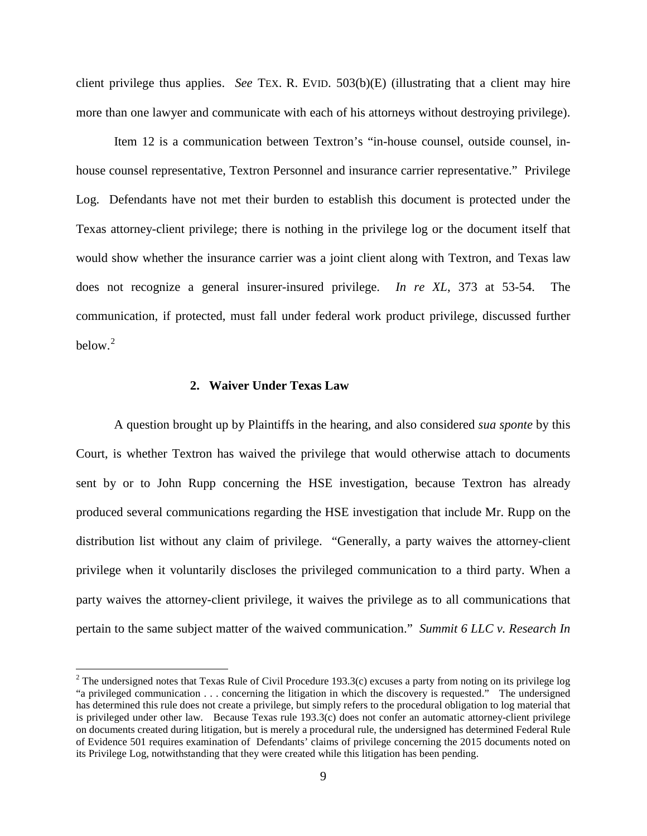client privilege thus applies. *See* TEX. R. EVID. 503(b)(E) (illustrating that a client may hire more than one lawyer and communicate with each of his attorneys without destroying privilege).

Item 12 is a communication between Textron's "in-house counsel, outside counsel, inhouse counsel representative, Textron Personnel and insurance carrier representative." Privilege Log. Defendants have not met their burden to establish this document is protected under the Texas attorney-client privilege; there is nothing in the privilege log or the document itself that would show whether the insurance carrier was a joint client along with Textron, and Texas law does not recognize a general insurer-insured privilege. *In re XL*, 373 at 53-54. The communication, if protected, must fall under federal work product privilege, discussed further below. $2$ 

## **2. Waiver Under Texas Law**

<u>.</u>

A question brought up by Plaintiffs in the hearing, and also considered *sua sponte* by this Court, is whether Textron has waived the privilege that would otherwise attach to documents sent by or to John Rupp concerning the HSE investigation, because Textron has already produced several communications regarding the HSE investigation that include Mr. Rupp on the distribution list without any claim of privilege. "Generally, a party waives the attorney-client privilege when it voluntarily discloses the privileged communication to a third party. When a party waives the attorney-client privilege, it waives the privilege as to all communications that pertain to the same subject matter of the waived communication." *Summit 6 LLC v. Research In* 

<span id="page-8-0"></span><sup>&</sup>lt;sup>2</sup> The undersigned notes that Texas Rule of Civil Procedure 193.3(c) excuses a party from noting on its privilege log "a privileged communication . . . concerning the litigation in which the discovery is requested." The undersigned has determined this rule does not create a privilege, but simply refers to the procedural obligation to log material that is privileged under other law. Because Texas rule 193.3(c) does not confer an automatic attorney-client privilege on documents created during litigation, but is merely a procedural rule, the undersigned has determined Federal Rule of Evidence 501 requires examination of Defendants' claims of privilege concerning the 2015 documents noted on its Privilege Log, notwithstanding that they were created while this litigation has been pending.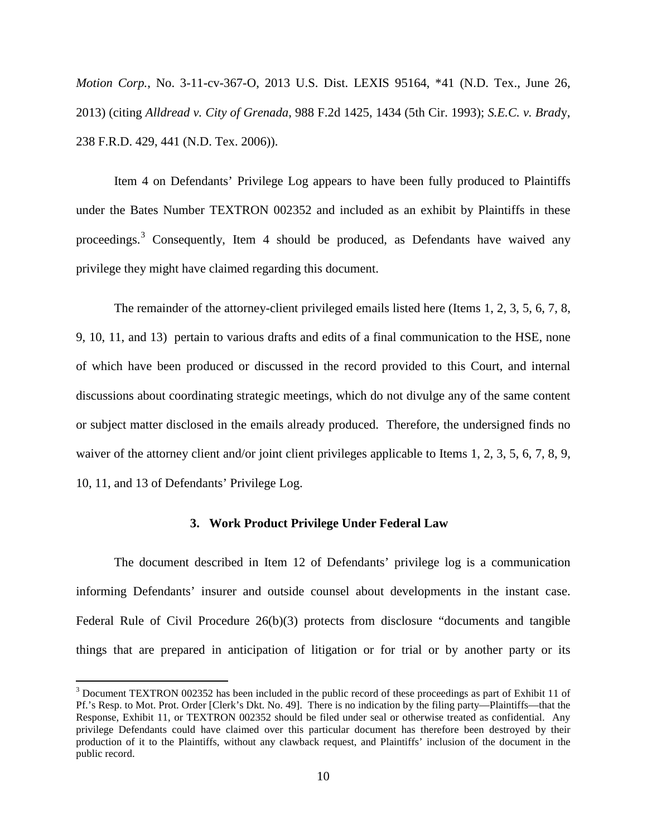*Motion Corp.*, No. 3-11-cv-367-O, 2013 U.S. Dist. LEXIS 95164, \*41 (N.D. Tex., June 26, 2013) (citing *Alldread v. City of Grenada*, 988 F.2d 1425, 1434 (5th Cir. 1993); *S.E.C. v. Brad*y, 238 F.R.D. 429, 441 (N.D. Tex. 2006)).

Item 4 on Defendants' Privilege Log appears to have been fully produced to Plaintiffs under the Bates Number TEXTRON 002352 and included as an exhibit by Plaintiffs in these proceedings.<sup>[3](#page-9-0)</sup> Consequently, Item 4 should be produced, as Defendants have waived any privilege they might have claimed regarding this document.

The remainder of the attorney-client privileged emails listed here (Items 1, 2, 3, 5, 6, 7, 8, 9, 10, 11, and 13) pertain to various drafts and edits of a final communication to the HSE, none of which have been produced or discussed in the record provided to this Court, and internal discussions about coordinating strategic meetings, which do not divulge any of the same content or subject matter disclosed in the emails already produced. Therefore, the undersigned finds no waiver of the attorney client and/or joint client privileges applicable to Items 1, 2, 3, 5, 6, 7, 8, 9, 10, 11, and 13 of Defendants' Privilege Log.

### **3. Work Product Privilege Under Federal Law**

The document described in Item 12 of Defendants' privilege log is a communication informing Defendants' insurer and outside counsel about developments in the instant case. Federal Rule of Civil Procedure 26(b)(3) protects from disclosure "documents and tangible things that are prepared in anticipation of litigation or for trial or by another party or its

 $\overline{a}$ 

<span id="page-9-0"></span><sup>&</sup>lt;sup>3</sup> Document TEXTRON 002352 has been included in the public record of these proceedings as part of Exhibit 11 of Pf.'s Resp. to Mot. Prot. Order [Clerk's Dkt. No. 49]. There is no indication by the filing party—Plaintiffs—that the Response, Exhibit 11, or TEXTRON 002352 should be filed under seal or otherwise treated as confidential. Any privilege Defendants could have claimed over this particular document has therefore been destroyed by their production of it to the Plaintiffs, without any clawback request, and Plaintiffs' inclusion of the document in the public record.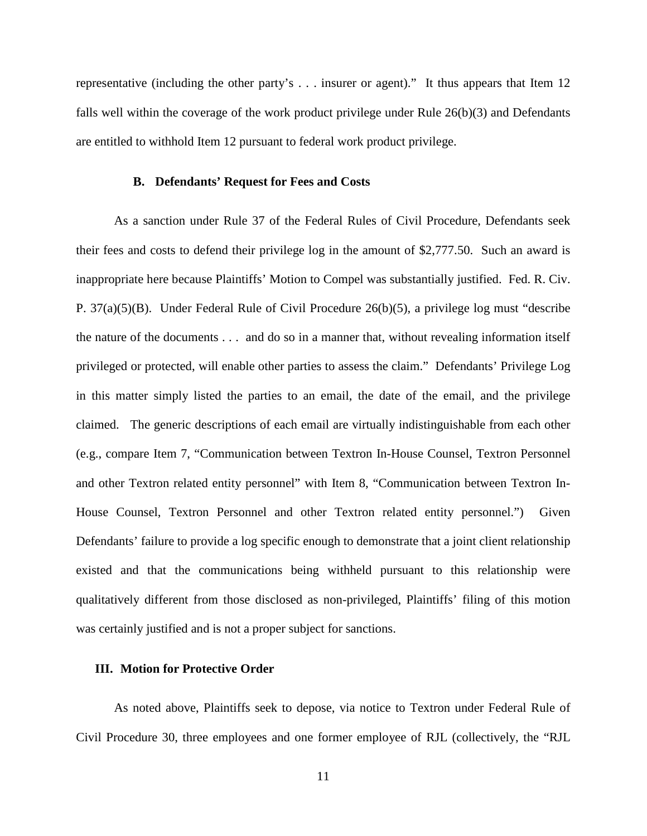representative (including the other party's . . . insurer or agent)." It thus appears that Item 12 falls well within the coverage of the work product privilege under Rule 26(b)(3) and Defendants are entitled to withhold Item 12 pursuant to federal work product privilege.

### **B. Defendants' Request for Fees and Costs**

As a sanction under Rule 37 of the Federal Rules of Civil Procedure, Defendants seek their fees and costs to defend their privilege log in the amount of \$2,777.50. Such an award is inappropriate here because Plaintiffs' Motion to Compel was substantially justified. Fed. R. Civ. P. 37(a)(5)(B). Under Federal Rule of Civil Procedure 26(b)(5), a privilege log must "describe the nature of the documents . . . and do so in a manner that, without revealing information itself privileged or protected, will enable other parties to assess the claim." Defendants' Privilege Log in this matter simply listed the parties to an email, the date of the email, and the privilege claimed. The generic descriptions of each email are virtually indistinguishable from each other (e.g., compare Item 7, "Communication between Textron In-House Counsel, Textron Personnel and other Textron related entity personnel" with Item 8, "Communication between Textron In-House Counsel, Textron Personnel and other Textron related entity personnel.") Given Defendants' failure to provide a log specific enough to demonstrate that a joint client relationship existed and that the communications being withheld pursuant to this relationship were qualitatively different from those disclosed as non-privileged, Plaintiffs' filing of this motion was certainly justified and is not a proper subject for sanctions.

## **III. Motion for Protective Order**

As noted above, Plaintiffs seek to depose, via notice to Textron under Federal Rule of Civil Procedure 30, three employees and one former employee of RJL (collectively, the "RJL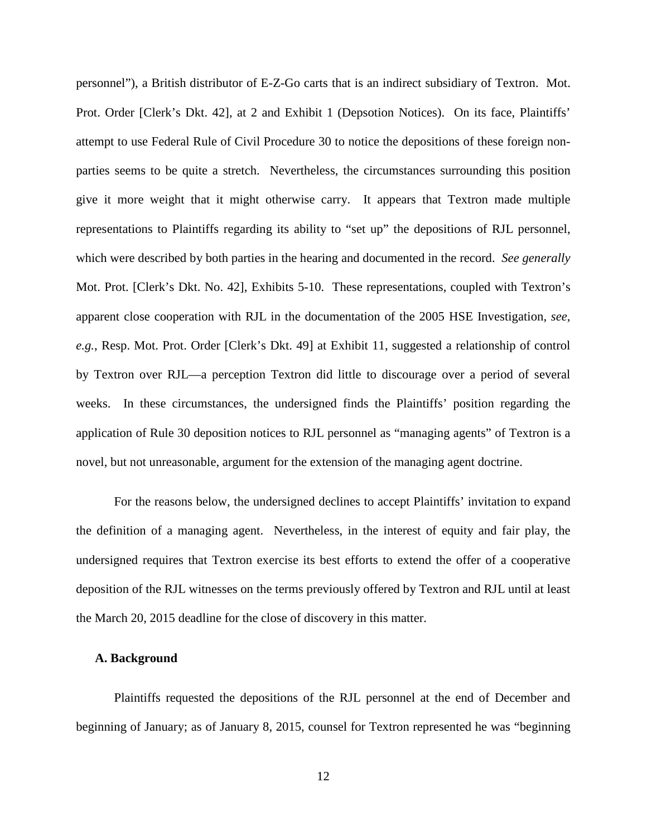personnel"), a British distributor of E-Z-Go carts that is an indirect subsidiary of Textron. Mot. Prot. Order [Clerk's Dkt. 42], at 2 and Exhibit 1 (Depsotion Notices). On its face, Plaintiffs' attempt to use Federal Rule of Civil Procedure 30 to notice the depositions of these foreign nonparties seems to be quite a stretch. Nevertheless, the circumstances surrounding this position give it more weight that it might otherwise carry. It appears that Textron made multiple representations to Plaintiffs regarding its ability to "set up" the depositions of RJL personnel, which were described by both parties in the hearing and documented in the record. *See generally*  Mot. Prot. [Clerk's Dkt. No. 42], Exhibits 5-10. These representations, coupled with Textron's apparent close cooperation with RJL in the documentation of the 2005 HSE Investigation, *see, e.g.*, Resp. Mot. Prot. Order [Clerk's Dkt. 49] at Exhibit 11, suggested a relationship of control by Textron over RJL—a perception Textron did little to discourage over a period of several weeks. In these circumstances, the undersigned finds the Plaintiffs' position regarding the application of Rule 30 deposition notices to RJL personnel as "managing agents" of Textron is a novel, but not unreasonable, argument for the extension of the managing agent doctrine.

For the reasons below, the undersigned declines to accept Plaintiffs' invitation to expand the definition of a managing agent. Nevertheless, in the interest of equity and fair play, the undersigned requires that Textron exercise its best efforts to extend the offer of a cooperative deposition of the RJL witnesses on the terms previously offered by Textron and RJL until at least the March 20, 2015 deadline for the close of discovery in this matter.

### **A. Background**

Plaintiffs requested the depositions of the RJL personnel at the end of December and beginning of January; as of January 8, 2015, counsel for Textron represented he was "beginning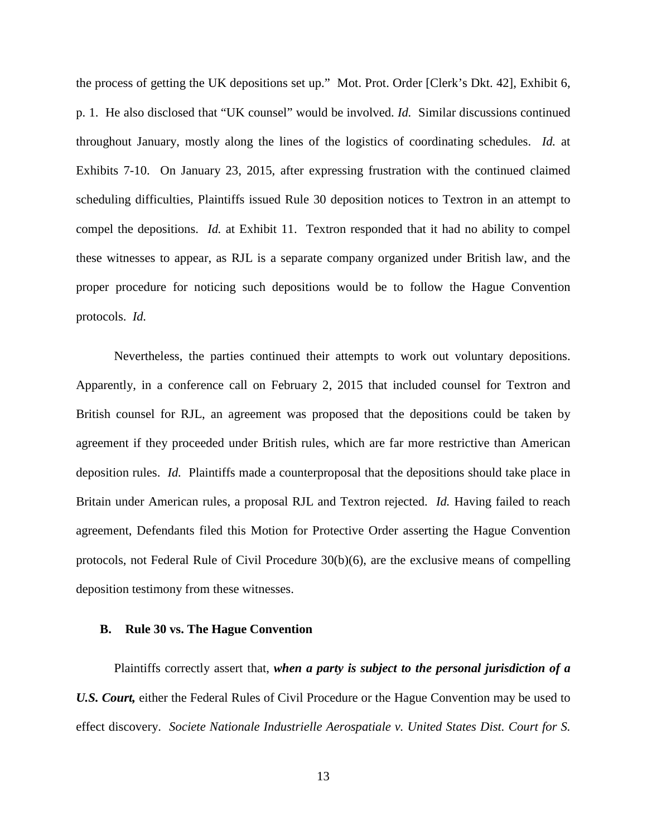the process of getting the UK depositions set up." Mot. Prot. Order [Clerk's Dkt. 42], Exhibit 6, p. 1. He also disclosed that "UK counsel" would be involved. *Id.* Similar discussions continued throughout January, mostly along the lines of the logistics of coordinating schedules. *Id.* at Exhibits 7-10. On January 23, 2015, after expressing frustration with the continued claimed scheduling difficulties, Plaintiffs issued Rule 30 deposition notices to Textron in an attempt to compel the depositions. *Id.* at Exhibit 11. Textron responded that it had no ability to compel these witnesses to appear, as RJL is a separate company organized under British law, and the proper procedure for noticing such depositions would be to follow the Hague Convention protocols. *Id.*

Nevertheless, the parties continued their attempts to work out voluntary depositions. Apparently, in a conference call on February 2, 2015 that included counsel for Textron and British counsel for RJL, an agreement was proposed that the depositions could be taken by agreement if they proceeded under British rules, which are far more restrictive than American deposition rules. *Id.* Plaintiffs made a counterproposal that the depositions should take place in Britain under American rules, a proposal RJL and Textron rejected. *Id.* Having failed to reach agreement, Defendants filed this Motion for Protective Order asserting the Hague Convention protocols, not Federal Rule of Civil Procedure 30(b)(6), are the exclusive means of compelling deposition testimony from these witnesses.

### **B. Rule 30 vs. The Hague Convention**

Plaintiffs correctly assert that, *when a party is subject to the personal jurisdiction of a*  U.S. Court, either the Federal Rules of Civil Procedure or the Hague Convention may be used to effect discovery. *Societe Nationale Industrielle Aerospatiale v. United States Dist. Court for S.*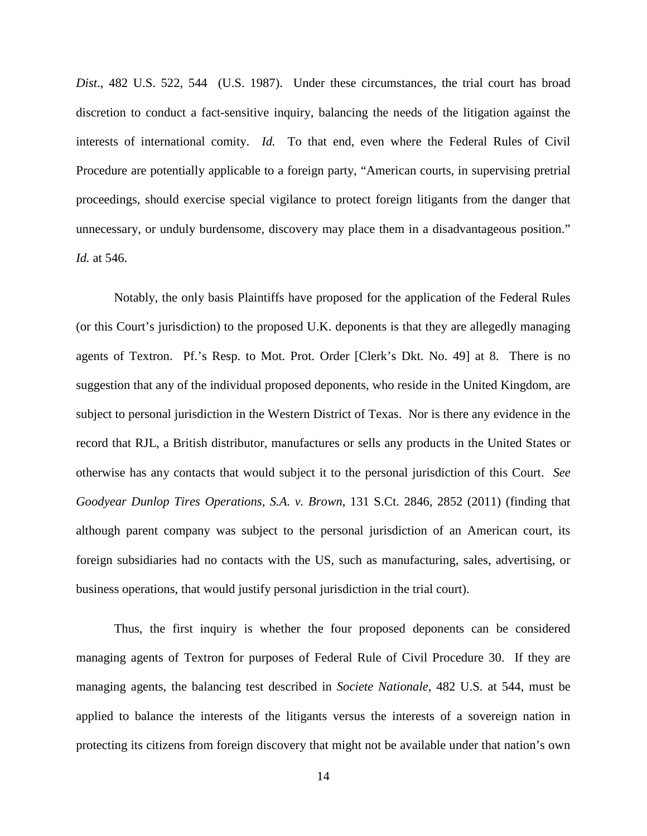*Dist*., 482 U.S. 522, 544 (U.S. 1987). Under these circumstances, the trial court has broad discretion to conduct a fact-sensitive inquiry, balancing the needs of the litigation against the interests of international comity. *Id.* To that end, even where the Federal Rules of Civil Procedure are potentially applicable to a foreign party, "American courts, in supervising pretrial proceedings, should exercise special vigilance to protect foreign litigants from the danger that unnecessary, or unduly burdensome, discovery may place them in a disadvantageous position." *Id.* at 546.

Notably, the only basis Plaintiffs have proposed for the application of the Federal Rules (or this Court's jurisdiction) to the proposed U.K. deponents is that they are allegedly managing agents of Textron. Pf.'s Resp. to Mot. Prot. Order [Clerk's Dkt. No. 49] at 8. There is no suggestion that any of the individual proposed deponents, who reside in the United Kingdom, are subject to personal jurisdiction in the Western District of Texas. Nor is there any evidence in the record that RJL, a British distributor, manufactures or sells any products in the United States or otherwise has any contacts that would subject it to the personal jurisdiction of this Court. *See Goodyear Dunlop Tires Operations, S.A. v. Brown*, 131 S.Ct. 2846, 2852 (2011) (finding that although parent company was subject to the personal jurisdiction of an American court, its foreign subsidiaries had no contacts with the US, such as manufacturing, sales, advertising, or business operations, that would justify personal jurisdiction in the trial court).

Thus, the first inquiry is whether the four proposed deponents can be considered managing agents of Textron for purposes of Federal Rule of Civil Procedure 30. If they are managing agents, the balancing test described in *Societe Nationale*, 482 U.S. at 544, must be applied to balance the interests of the litigants versus the interests of a sovereign nation in protecting its citizens from foreign discovery that might not be available under that nation's own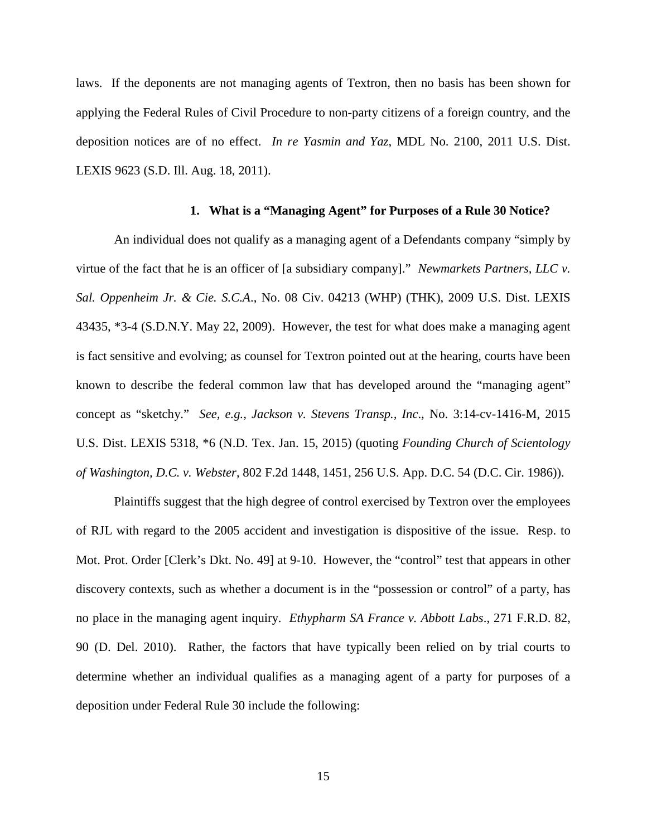laws. If the deponents are not managing agents of Textron, then no basis has been shown for applying the Federal Rules of Civil Procedure to non-party citizens of a foreign country, and the deposition notices are of no effect. *In re Yasmin and Yaz*, MDL No. 2100, 2011 U.S. Dist. LEXIS 9623 (S.D. Ill. Aug. 18, 2011).

### **1. What is a "Managing Agent" for Purposes of a Rule 30 Notice?**

An individual does not qualify as a managing agent of a Defendants company "simply by virtue of the fact that he is an officer of [a subsidiary company]." *Newmarkets Partners, LLC v. Sal. Oppenheim Jr. & Cie. S.C.A*., No. 08 Civ. 04213 (WHP) (THK), 2009 U.S. Dist. LEXIS 43435, \*3-4 (S.D.N.Y. May 22, 2009). However, the test for what does make a managing agent is fact sensitive and evolving; as counsel for Textron pointed out at the hearing, courts have been known to describe the federal common law that has developed around the "managing agent" concept as "sketchy." *See, e.g.*, *Jackson v. Stevens Transp., Inc*., No. 3:14-cv-1416-M, 2015 U.S. Dist. LEXIS 5318, \*6 (N.D. Tex. Jan. 15, 2015) (quoting *Founding Church of Scientology of Washington, D.C. v. Webster*, 802 F.2d 1448, 1451, 256 U.S. App. D.C. 54 (D.C. Cir. 1986)).

Plaintiffs suggest that the high degree of control exercised by Textron over the employees of RJL with regard to the 2005 accident and investigation is dispositive of the issue. Resp. to Mot. Prot. Order [Clerk's Dkt. No. 49] at 9-10. However, the "control" test that appears in other discovery contexts, such as whether a document is in the "possession or control" of a party, has no place in the managing agent inquiry. *Ethypharm SA France v. Abbott Labs*., 271 F.R.D. 82, 90 (D. Del. 2010). Rather, the factors that have typically been relied on by trial courts to determine whether an individual qualifies as a managing agent of a party for purposes of a deposition under Federal Rule 30 include the following: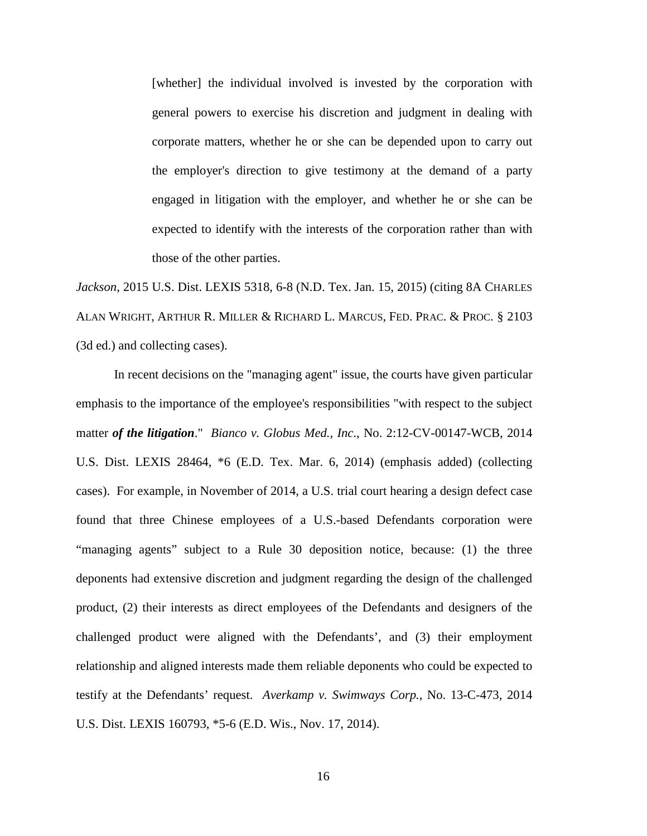[whether] the individual involved is invested by the corporation with general powers to exercise his discretion and judgment in dealing with corporate matters, whether he or she can be depended upon to carry out the employer's direction to give testimony at the demand of a party engaged in litigation with the employer, and whether he or she can be expected to identify with the interests of the corporation rather than with those of the other parties.

*Jackson*, 2015 U.S. Dist. LEXIS 5318, 6-8 (N.D. Tex. Jan. 15, 2015) (citing 8A CHARLES ALAN WRIGHT, ARTHUR R. MILLER & RICHARD L. MARCUS, FED. PRAC. & PROC. § 2103 (3d ed.) and collecting cases).

In recent decisions on the "managing agent" issue, the courts have given particular emphasis to the importance of the employee's responsibilities "with respect to the subject matter *of the litigation*." *Bianco v. Globus Med., Inc*., No. 2:12-CV-00147-WCB, 2014 U.S. Dist. LEXIS 28464, \*6 (E.D. Tex. Mar. 6, 2014) (emphasis added) (collecting cases). For example, in November of 2014, a U.S. trial court hearing a design defect case found that three Chinese employees of a U.S.-based Defendants corporation were "managing agents" subject to a Rule 30 deposition notice, because: (1) the three deponents had extensive discretion and judgment regarding the design of the challenged product, (2) their interests as direct employees of the Defendants and designers of the challenged product were aligned with the Defendants', and (3) their employment relationship and aligned interests made them reliable deponents who could be expected to testify at the Defendants' request. *Averkamp v. Swimways Corp.*, No. 13-C-473, 2014 U.S. Dist. LEXIS 160793, \*5-6 (E.D. Wis., Nov. 17, 2014).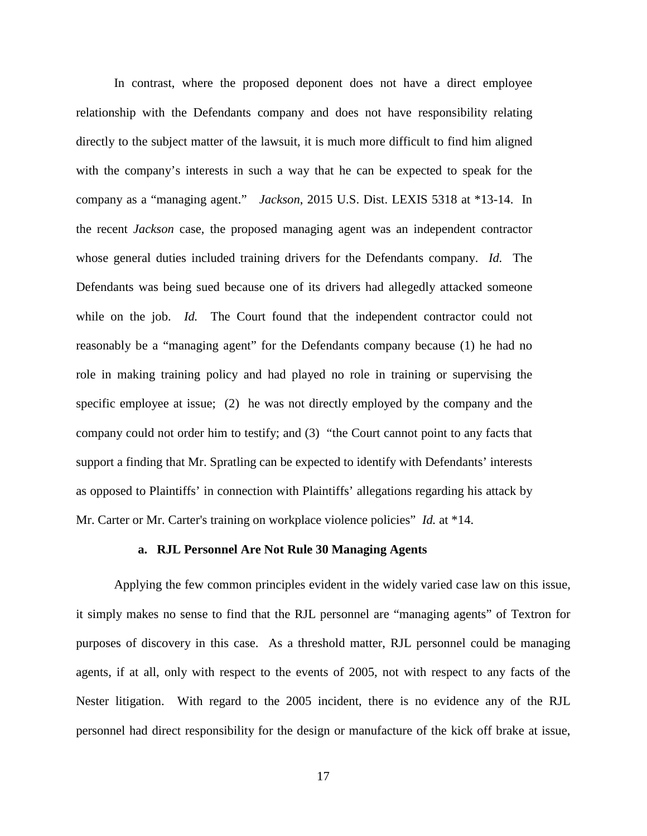In contrast, where the proposed deponent does not have a direct employee relationship with the Defendants company and does not have responsibility relating directly to the subject matter of the lawsuit, it is much more difficult to find him aligned with the company's interests in such a way that he can be expected to speak for the company as a "managing agent." *Jackson*, 2015 U.S. Dist. LEXIS 5318 at \*13-14. In the recent *Jackson* case, the proposed managing agent was an independent contractor whose general duties included training drivers for the Defendants company. *Id.* The Defendants was being sued because one of its drivers had allegedly attacked someone while on the job. *Id.* The Court found that the independent contractor could not reasonably be a "managing agent" for the Defendants company because (1) he had no role in making training policy and had played no role in training or supervising the specific employee at issue; (2)he was not directly employed by the company and the company could not order him to testify; and (3) "the Court cannot point to any facts that support a finding that Mr. Spratling can be expected to identify with Defendants' interests as opposed to Plaintiffs' in connection with Plaintiffs' allegations regarding his attack by Mr. Carter or Mr. Carter's training on workplace violence policies" *Id.* at \*14.

### **a. RJL Personnel Are Not Rule 30 Managing Agents**

Applying the few common principles evident in the widely varied case law on this issue, it simply makes no sense to find that the RJL personnel are "managing agents" of Textron for purposes of discovery in this case. As a threshold matter, RJL personnel could be managing agents, if at all, only with respect to the events of 2005, not with respect to any facts of the Nester litigation. With regard to the 2005 incident, there is no evidence any of the RJL personnel had direct responsibility for the design or manufacture of the kick off brake at issue,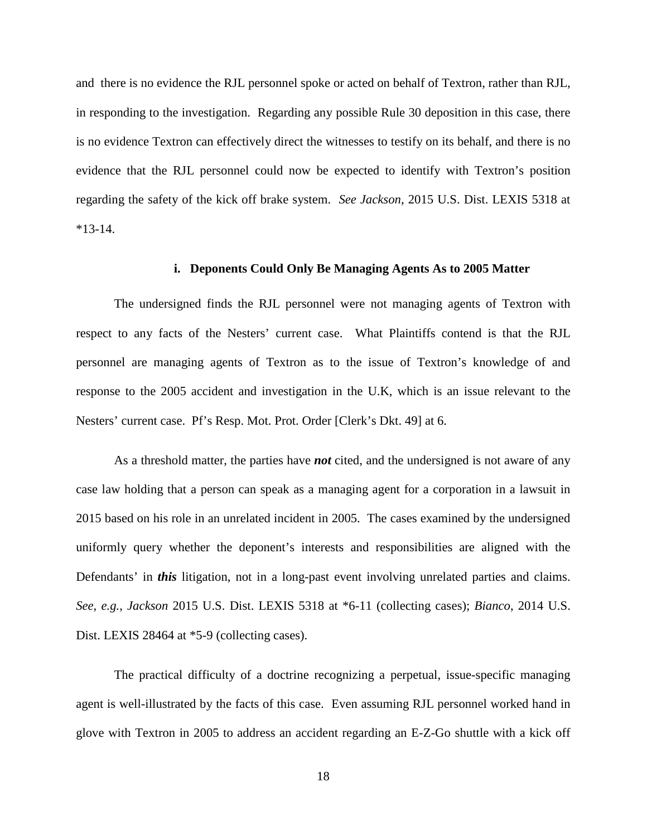and there is no evidence the RJL personnel spoke or acted on behalf of Textron, rather than RJL, in responding to the investigation. Regarding any possible Rule 30 deposition in this case, there is no evidence Textron can effectively direct the witnesses to testify on its behalf, and there is no evidence that the RJL personnel could now be expected to identify with Textron's position regarding the safety of the kick off brake system. *See Jackson*, 2015 U.S. Dist. LEXIS 5318 at \*13-14.

### **i. Deponents Could Only Be Managing Agents As to 2005 Matter**

The undersigned finds the RJL personnel were not managing agents of Textron with respect to any facts of the Nesters' current case. What Plaintiffs contend is that the RJL personnel are managing agents of Textron as to the issue of Textron's knowledge of and response to the 2005 accident and investigation in the U.K, which is an issue relevant to the Nesters' current case. Pf's Resp. Mot. Prot. Order [Clerk's Dkt. 49] at 6.

As a threshold matter, the parties have *not* cited, and the undersigned is not aware of any case law holding that a person can speak as a managing agent for a corporation in a lawsuit in 2015 based on his role in an unrelated incident in 2005. The cases examined by the undersigned uniformly query whether the deponent's interests and responsibilities are aligned with the Defendants' in *this* litigation, not in a long-past event involving unrelated parties and claims. *See*, *e.g.*, *Jackson* 2015 U.S. Dist. LEXIS 5318 at \*6-11 (collecting cases); *Bianco*, 2014 U.S. Dist. LEXIS 28464 at \*5-9 (collecting cases).

The practical difficulty of a doctrine recognizing a perpetual, issue-specific managing agent is well-illustrated by the facts of this case. Even assuming RJL personnel worked hand in glove with Textron in 2005 to address an accident regarding an E-Z-Go shuttle with a kick off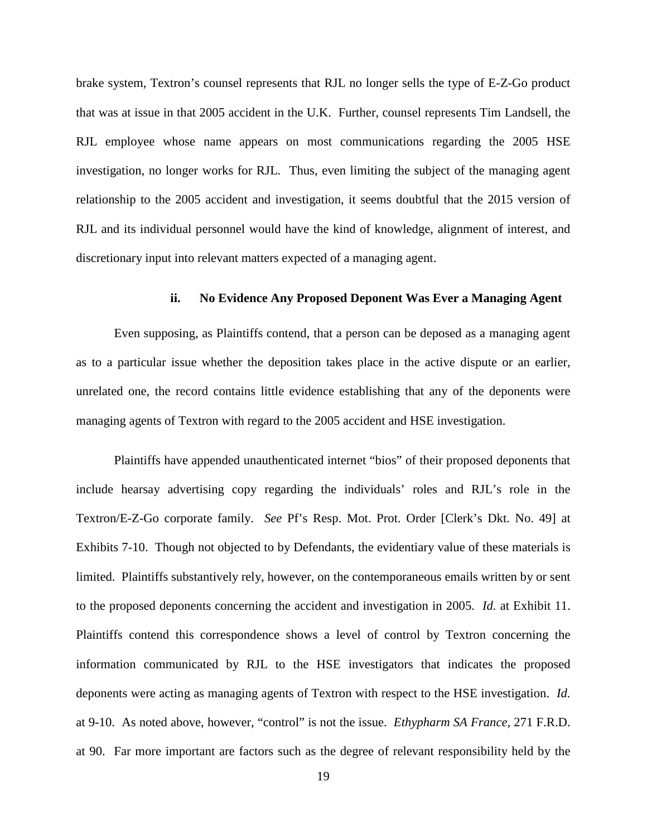brake system, Textron's counsel represents that RJL no longer sells the type of E-Z-Go product that was at issue in that 2005 accident in the U.K. Further, counsel represents Tim Landsell, the RJL employee whose name appears on most communications regarding the 2005 HSE investigation, no longer works for RJL. Thus, even limiting the subject of the managing agent relationship to the 2005 accident and investigation, it seems doubtful that the 2015 version of RJL and its individual personnel would have the kind of knowledge, alignment of interest, and discretionary input into relevant matters expected of a managing agent.

### **ii. No Evidence Any Proposed Deponent Was Ever a Managing Agent**

Even supposing, as Plaintiffs contend, that a person can be deposed as a managing agent as to a particular issue whether the deposition takes place in the active dispute or an earlier, unrelated one, the record contains little evidence establishing that any of the deponents were managing agents of Textron with regard to the 2005 accident and HSE investigation.

Plaintiffs have appended unauthenticated internet "bios" of their proposed deponents that include hearsay advertising copy regarding the individuals' roles and RJL's role in the Textron/E-Z-Go corporate family. *See* Pf's Resp. Mot. Prot. Order [Clerk's Dkt. No. 49] at Exhibits 7-10. Though not objected to by Defendants, the evidentiary value of these materials is limited. Plaintiffs substantively rely, however, on the contemporaneous emails written by or sent to the proposed deponents concerning the accident and investigation in 2005. *Id.* at Exhibit 11. Plaintiffs contend this correspondence shows a level of control by Textron concerning the information communicated by RJL to the HSE investigators that indicates the proposed deponents were acting as managing agents of Textron with respect to the HSE investigation. *Id.*  at 9-10. As noted above, however, "control" is not the issue. *Ethypharm SA France*, 271 F.R.D. at 90. Far more important are factors such as the degree of relevant responsibility held by the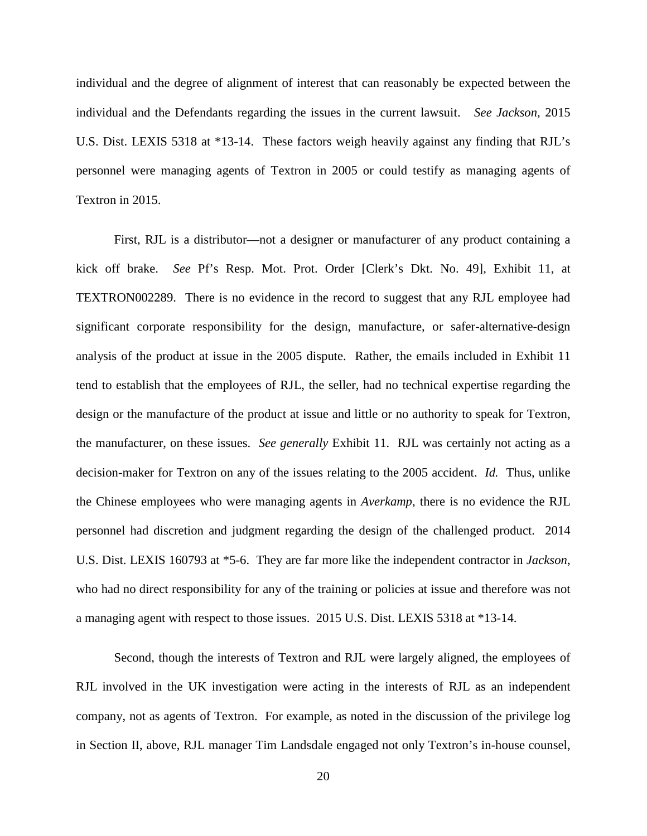individual and the degree of alignment of interest that can reasonably be expected between the individual and the Defendants regarding the issues in the current lawsuit. *See Jackson*, 2015 U.S. Dist. LEXIS 5318 at \*13-14. These factors weigh heavily against any finding that RJL's personnel were managing agents of Textron in 2005 or could testify as managing agents of Textron in 2015.

First, RJL is a distributor—not a designer or manufacturer of any product containing a kick off brake. *See* Pf's Resp. Mot. Prot. Order [Clerk's Dkt. No. 49], Exhibit 11, at TEXTRON002289. There is no evidence in the record to suggest that any RJL employee had significant corporate responsibility for the design, manufacture, or safer-alternative-design analysis of the product at issue in the 2005 dispute. Rather, the emails included in Exhibit 11 tend to establish that the employees of RJL, the seller, had no technical expertise regarding the design or the manufacture of the product at issue and little or no authority to speak for Textron, the manufacturer, on these issues. *See generally* Exhibit 11. RJL was certainly not acting as a decision-maker for Textron on any of the issues relating to the 2005 accident. *Id.* Thus, unlike the Chinese employees who were managing agents in *Averkamp*, there is no evidence the RJL personnel had discretion and judgment regarding the design of the challenged product. 2014 U.S. Dist. LEXIS 160793 at \*5-6. They are far more like the independent contractor in *Jackson*, who had no direct responsibility for any of the training or policies at issue and therefore was not a managing agent with respect to those issues. 2015 U.S. Dist. LEXIS 5318 at \*13-14.

Second, though the interests of Textron and RJL were largely aligned, the employees of RJL involved in the UK investigation were acting in the interests of RJL as an independent company, not as agents of Textron. For example, as noted in the discussion of the privilege log in Section II, above, RJL manager Tim Landsdale engaged not only Textron's in-house counsel,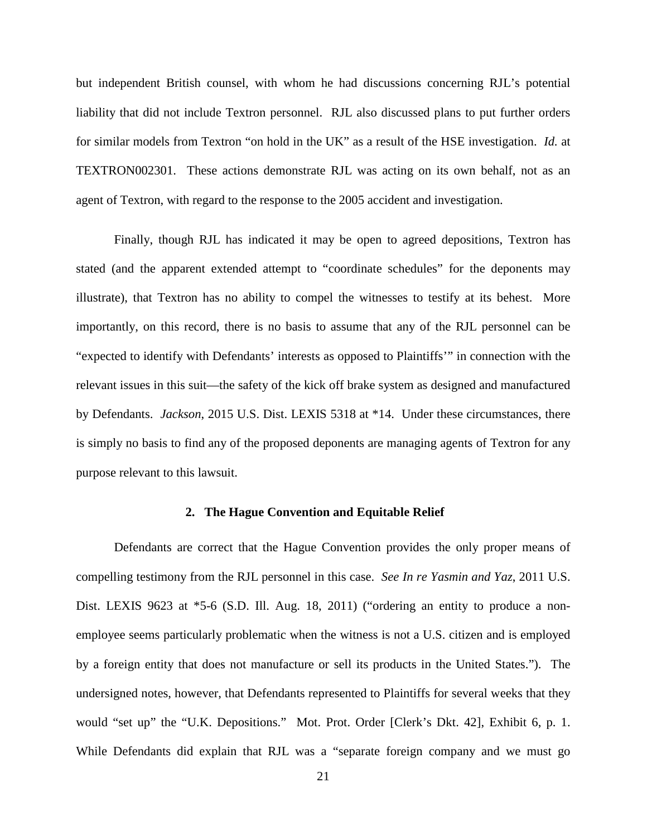but independent British counsel, with whom he had discussions concerning RJL's potential liability that did not include Textron personnel. RJL also discussed plans to put further orders for similar models from Textron "on hold in the UK" as a result of the HSE investigation. *Id.* at TEXTRON002301. These actions demonstrate RJL was acting on its own behalf, not as an agent of Textron, with regard to the response to the 2005 accident and investigation.

Finally, though RJL has indicated it may be open to agreed depositions, Textron has stated (and the apparent extended attempt to "coordinate schedules" for the deponents may illustrate), that Textron has no ability to compel the witnesses to testify at its behest. More importantly, on this record, there is no basis to assume that any of the RJL personnel can be "expected to identify with Defendants' interests as opposed to Plaintiffs'" in connection with the relevant issues in this suit—the safety of the kick off brake system as designed and manufactured by Defendants. *Jackson*, 2015 U.S. Dist. LEXIS 5318 at \*14. Under these circumstances, there is simply no basis to find any of the proposed deponents are managing agents of Textron for any purpose relevant to this lawsuit.

### **2. The Hague Convention and Equitable Relief**

Defendants are correct that the Hague Convention provides the only proper means of compelling testimony from the RJL personnel in this case. *See In re Yasmin and Yaz*, 2011 U.S. Dist. LEXIS 9623 at \*5-6 (S.D. Ill. Aug. 18, 2011) ("ordering an entity to produce a nonemployee seems particularly problematic when the witness is not a U.S. citizen and is employed by a foreign entity that does not manufacture or sell its products in the United States."). The undersigned notes, however, that Defendants represented to Plaintiffs for several weeks that they would "set up" the "U.K. Depositions." Mot. Prot. Order [Clerk's Dkt. 42], Exhibit 6, p. 1. While Defendants did explain that RJL was a "separate foreign company and we must go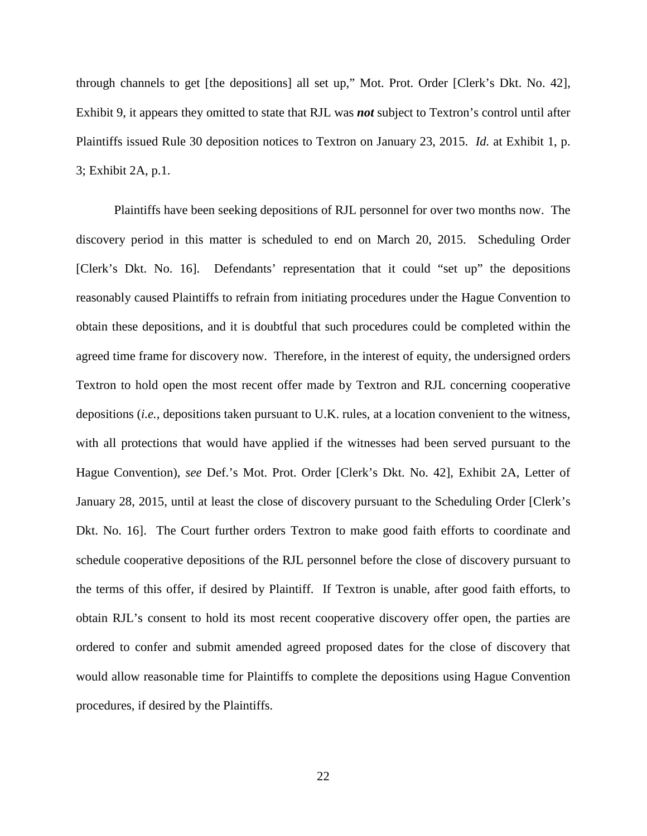through channels to get [the depositions] all set up," Mot. Prot. Order [Clerk's Dkt. No. 42], Exhibit 9, it appears they omitted to state that RJL was *not* subject to Textron's control until after Plaintiffs issued Rule 30 deposition notices to Textron on January 23, 2015. *Id.* at Exhibit 1, p. 3; Exhibit 2A, p.1.

Plaintiffs have been seeking depositions of RJL personnel for over two months now. The discovery period in this matter is scheduled to end on March 20, 2015. Scheduling Order [Clerk's Dkt. No. 16]. Defendants' representation that it could "set up" the depositions reasonably caused Plaintiffs to refrain from initiating procedures under the Hague Convention to obtain these depositions, and it is doubtful that such procedures could be completed within the agreed time frame for discovery now. Therefore, in the interest of equity, the undersigned orders Textron to hold open the most recent offer made by Textron and RJL concerning cooperative depositions (*i.e.,* depositions taken pursuant to U.K. rules, at a location convenient to the witness, with all protections that would have applied if the witnesses had been served pursuant to the Hague Convention), *see* Def.'s Mot. Prot. Order [Clerk's Dkt. No. 42], Exhibit 2A, Letter of January 28, 2015, until at least the close of discovery pursuant to the Scheduling Order [Clerk's Dkt. No. 16]. The Court further orders Textron to make good faith efforts to coordinate and schedule cooperative depositions of the RJL personnel before the close of discovery pursuant to the terms of this offer, if desired by Plaintiff. If Textron is unable, after good faith efforts, to obtain RJL's consent to hold its most recent cooperative discovery offer open, the parties are ordered to confer and submit amended agreed proposed dates for the close of discovery that would allow reasonable time for Plaintiffs to complete the depositions using Hague Convention procedures, if desired by the Plaintiffs.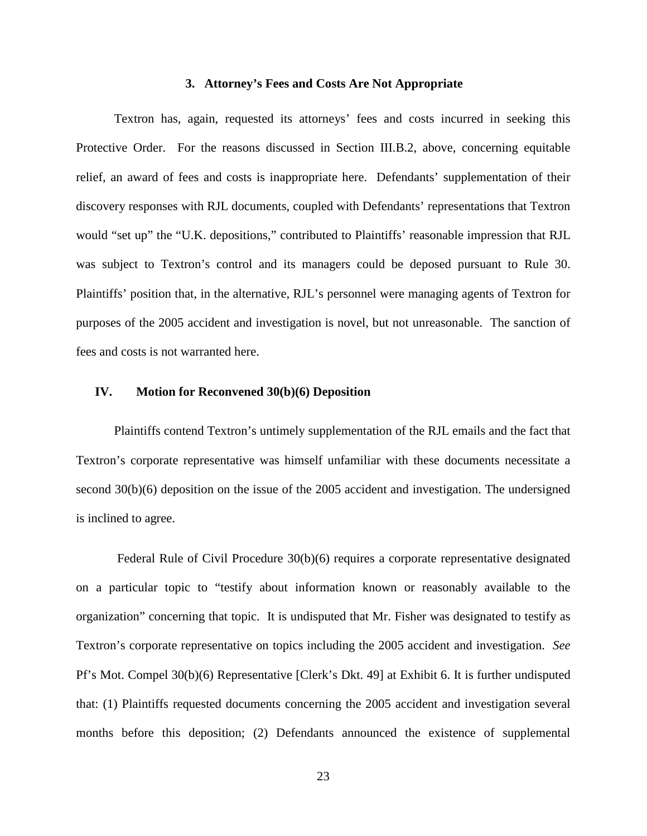#### **3. Attorney's Fees and Costs Are Not Appropriate**

Textron has, again, requested its attorneys' fees and costs incurred in seeking this Protective Order. For the reasons discussed in Section III.B.2, above, concerning equitable relief, an award of fees and costs is inappropriate here. Defendants' supplementation of their discovery responses with RJL documents, coupled with Defendants' representations that Textron would "set up" the "U.K. depositions," contributed to Plaintiffs' reasonable impression that RJL was subject to Textron's control and its managers could be deposed pursuant to Rule 30. Plaintiffs' position that, in the alternative, RJL's personnel were managing agents of Textron for purposes of the 2005 accident and investigation is novel, but not unreasonable. The sanction of fees and costs is not warranted here.

### **IV. Motion for Reconvened 30(b)(6) Deposition**

Plaintiffs contend Textron's untimely supplementation of the RJL emails and the fact that Textron's corporate representative was himself unfamiliar with these documents necessitate a second 30(b)(6) deposition on the issue of the 2005 accident and investigation. The undersigned is inclined to agree.

Federal Rule of Civil Procedure 30(b)(6) requires a corporate representative designated on a particular topic to "testify about information known or reasonably available to the organization" concerning that topic. It is undisputed that Mr. Fisher was designated to testify as Textron's corporate representative on topics including the 2005 accident and investigation. *See*  Pf's Mot. Compel 30(b)(6) Representative [Clerk's Dkt. 49] at Exhibit 6. It is further undisputed that: (1) Plaintiffs requested documents concerning the 2005 accident and investigation several months before this deposition; (2) Defendants announced the existence of supplemental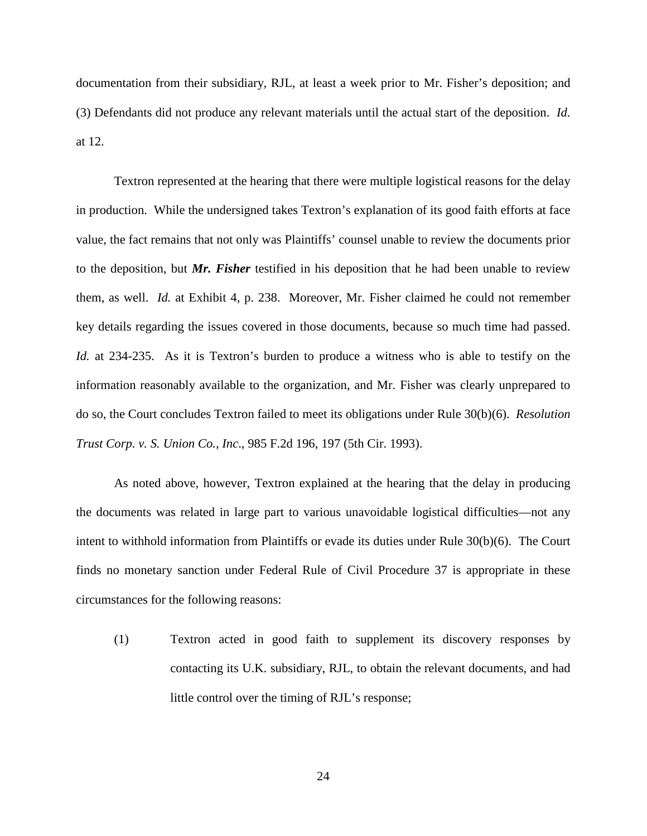documentation from their subsidiary, RJL, at least a week prior to Mr. Fisher's deposition; and (3) Defendants did not produce any relevant materials until the actual start of the deposition. *Id.*  at 12.

Textron represented at the hearing that there were multiple logistical reasons for the delay in production. While the undersigned takes Textron's explanation of its good faith efforts at face value, the fact remains that not only was Plaintiffs' counsel unable to review the documents prior to the deposition, but *Mr. Fisher* testified in his deposition that he had been unable to review them, as well. *Id.* at Exhibit 4, p. 238. Moreover, Mr. Fisher claimed he could not remember key details regarding the issues covered in those documents, because so much time had passed. *Id.* at 234-235. As it is Textron's burden to produce a witness who is able to testify on the information reasonably available to the organization, and Mr. Fisher was clearly unprepared to do so, the Court concludes Textron failed to meet its obligations under Rule 30(b)(6). *Resolution Trust Corp. v. S. Union Co., Inc*., 985 F.2d 196, 197 (5th Cir. 1993).

As noted above, however, Textron explained at the hearing that the delay in producing the documents was related in large part to various unavoidable logistical difficulties—not any intent to withhold information from Plaintiffs or evade its duties under Rule 30(b)(6). The Court finds no monetary sanction under Federal Rule of Civil Procedure 37 is appropriate in these circumstances for the following reasons:

(1) Textron acted in good faith to supplement its discovery responses by contacting its U.K. subsidiary, RJL, to obtain the relevant documents, and had little control over the timing of RJL's response;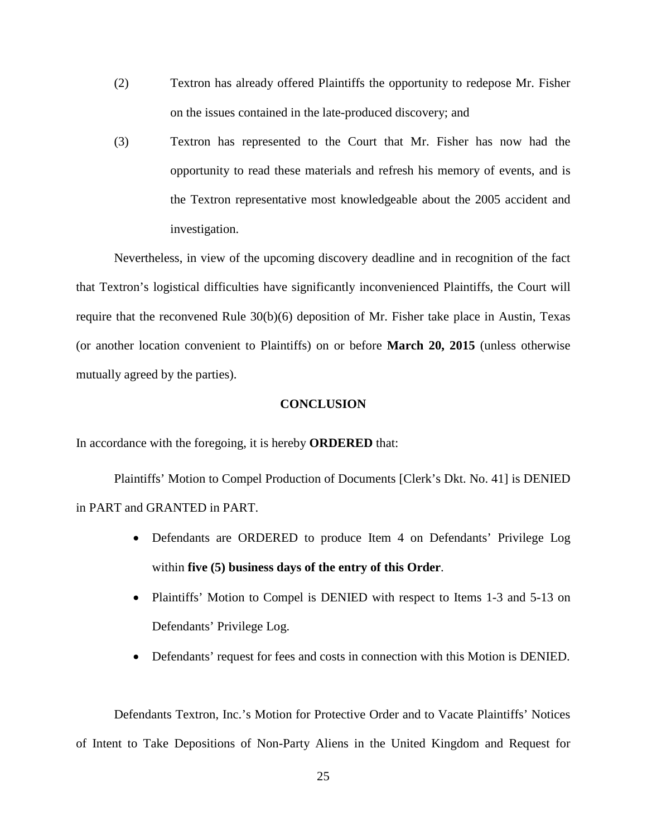- (2) Textron has already offered Plaintiffs the opportunity to redepose Mr. Fisher on the issues contained in the late-produced discovery; and
- (3) Textron has represented to the Court that Mr. Fisher has now had the opportunity to read these materials and refresh his memory of events, and is the Textron representative most knowledgeable about the 2005 accident and investigation.

Nevertheless, in view of the upcoming discovery deadline and in recognition of the fact that Textron's logistical difficulties have significantly inconvenienced Plaintiffs, the Court will require that the reconvened Rule 30(b)(6) deposition of Mr. Fisher take place in Austin, Texas (or another location convenient to Plaintiffs) on or before **March 20, 2015** (unless otherwise mutually agreed by the parties).

#### **CONCLUSION**

In accordance with the foregoing, it is hereby **ORDERED** that:

Plaintiffs' Motion to Compel Production of Documents [Clerk's Dkt. No. 41] is DENIED in PART and GRANTED in PART.

- Defendants are ORDERED to produce Item 4 on Defendants' Privilege Log within **five (5) business days of the entry of this Order**.
- Plaintiffs' Motion to Compel is DENIED with respect to Items 1-3 and 5-13 on Defendants' Privilege Log.
- Defendants' request for fees and costs in connection with this Motion is DENIED.

Defendants Textron, Inc.'s Motion for Protective Order and to Vacate Plaintiffs' Notices of Intent to Take Depositions of Non-Party Aliens in the United Kingdom and Request for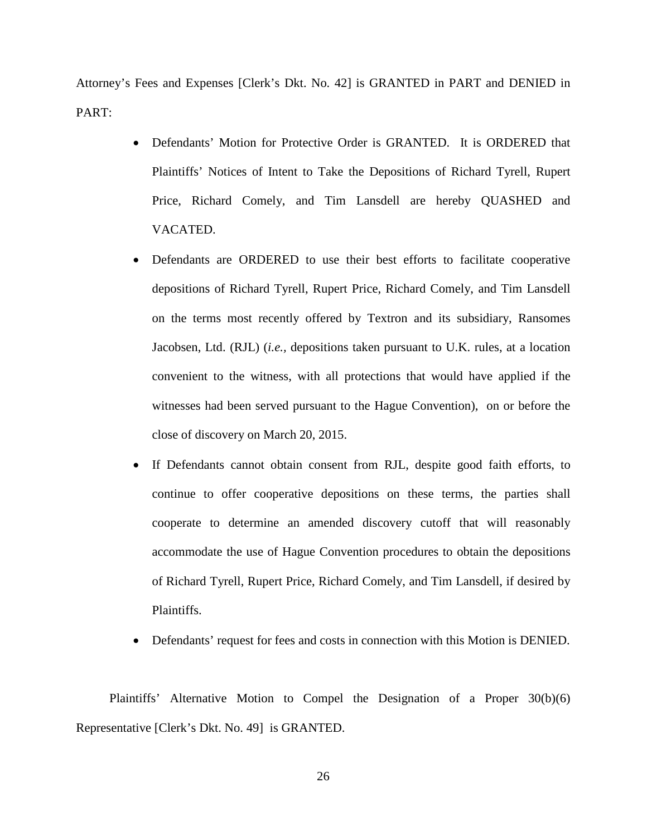Attorney's Fees and Expenses [Clerk's Dkt. No. 42] is GRANTED in PART and DENIED in PART:

- Defendants' Motion for Protective Order is GRANTED. It is ORDERED that Plaintiffs' Notices of Intent to Take the Depositions of Richard Tyrell, Rupert Price, Richard Comely, and Tim Lansdell are hereby QUASHED and VACATED.
- Defendants are ORDERED to use their best efforts to facilitate cooperative depositions of Richard Tyrell, Rupert Price, Richard Comely, and Tim Lansdell on the terms most recently offered by Textron and its subsidiary, Ransomes Jacobsen, Ltd. (RJL) (*i.e.,* depositions taken pursuant to U.K. rules, at a location convenient to the witness, with all protections that would have applied if the witnesses had been served pursuant to the Hague Convention), on or before the close of discovery on March 20, 2015.
- If Defendants cannot obtain consent from RJL, despite good faith efforts, to continue to offer cooperative depositions on these terms, the parties shall cooperate to determine an amended discovery cutoff that will reasonably accommodate the use of Hague Convention procedures to obtain the depositions of Richard Tyrell, Rupert Price, Richard Comely, and Tim Lansdell, if desired by Plaintiffs.
- Defendants' request for fees and costs in connection with this Motion is DENIED.

Plaintiffs' Alternative Motion to Compel the Designation of a Proper 30(b)(6) Representative [Clerk's Dkt. No. 49] is GRANTED.